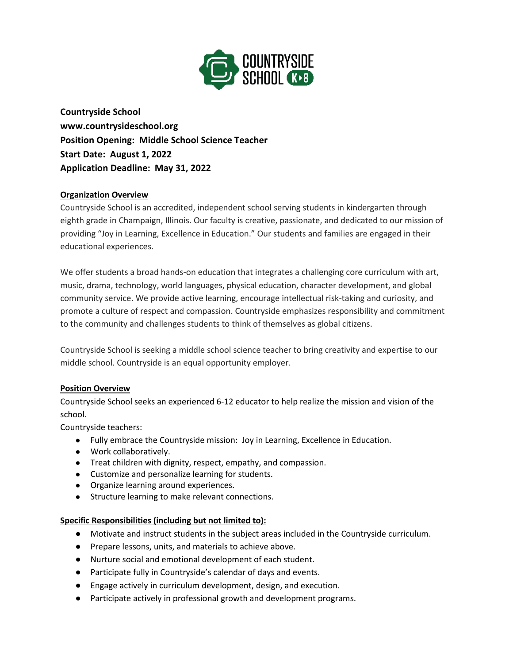

**Countryside School www.countrysideschool.org Position Opening: Middle School Science Teacher Start Date: August 1, 2022 Application Deadline: May 31, 2022**

### **Organization Overview**

Countryside School is an accredited, independent school serving students in kindergarten through eighth grade in Champaign, Illinois. Our faculty is creative, passionate, and dedicated to our mission of providing "Joy in Learning, Excellence in Education." Our students and families are engaged in their educational experiences.

We offer students a broad hands-on education that integrates a challenging core curriculum with art, music, drama, technology, world languages, physical education, character development, and global community service. We provide active learning, encourage intellectual risk-taking and curiosity, and promote a culture of respect and compassion. Countryside emphasizes responsibility and commitment to the community and challenges students to think of themselves as global citizens.

Countryside School is seeking a middle school science teacher to bring creativity and expertise to our middle school. Countryside is an equal opportunity employer.

### **Position Overview**

Countryside School seeks an experienced 6-12 educator to help realize the mission and vision of the school.

Countryside teachers:

- Fully embrace the Countryside mission: Joy in Learning, Excellence in Education.
- Work collaboratively.
- Treat children with dignity, respect, empathy, and compassion.
- Customize and personalize learning for students.
- Organize learning around experiences.
- Structure learning to make relevant connections.

### **Specific Responsibilities (including but not limited to):**

- Motivate and instruct students in the subject areas included in the Countryside curriculum.
- Prepare lessons, units, and materials to achieve above.
- Nurture social and emotional development of each student.
- Participate fully in Countryside's calendar of days and events.
- Engage actively in curriculum development, design, and execution.
- Participate actively in professional growth and development programs.